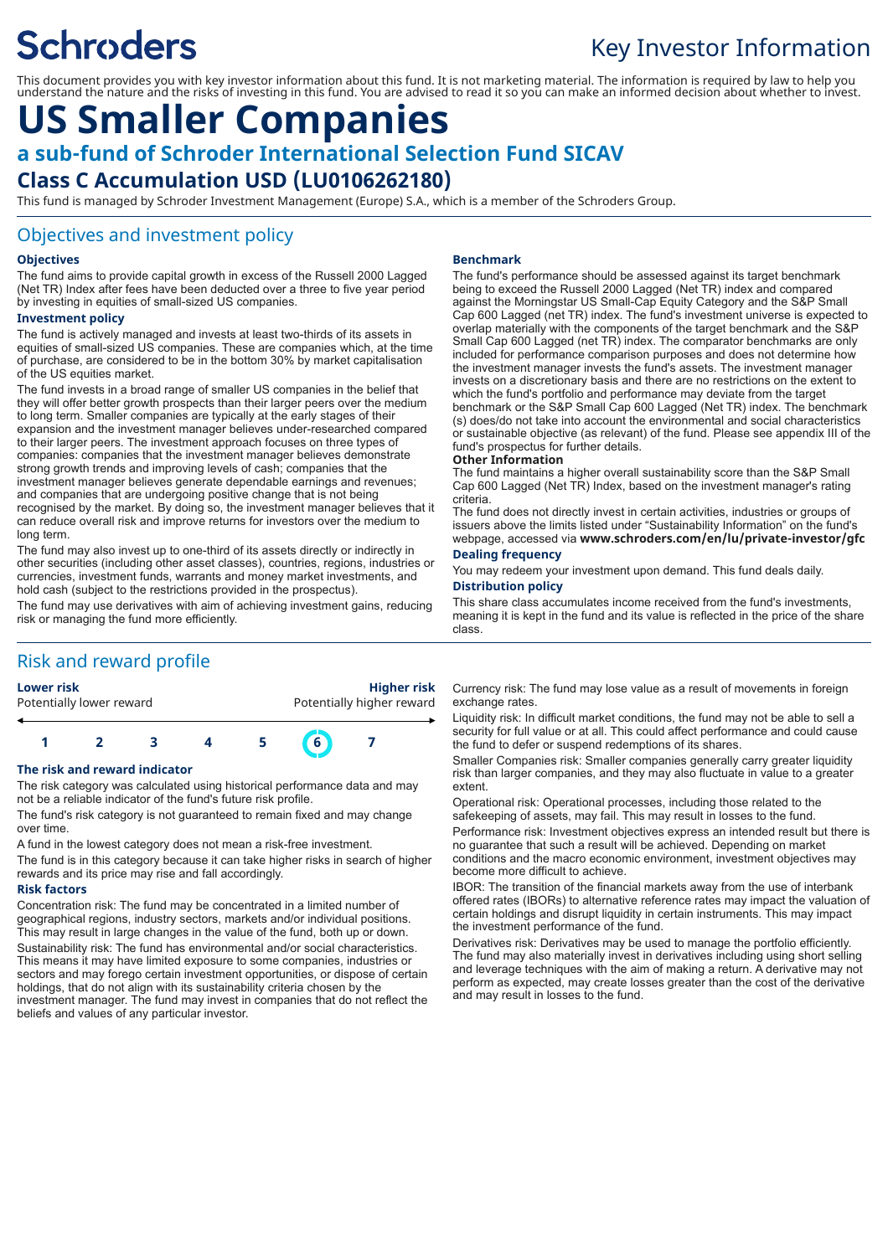# **Schroders**

# Key Investor Information

This document provides you with key investor information about this fund. It is not marketing material. The information is required by law to help you understand the nature and the risks of investing in this fund. You are advised to read it so you can make an informed decision about whether to invest.

# **US Smaller Companies a sub-fund of Schroder International Selection Fund SICAV Class C Accumulation USD (LU0106262180)**

This fund is managed by Schroder Investment Management (Europe) S.A., which is a member of the Schroders Group.

### Objectives and investment policy

#### **Objectives**

The fund aims to provide capital growth in excess of the Russell 2000 Lagged (Net TR) Index after fees have been deducted over a three to five year period by investing in equities of small-sized US companies.

#### **Investment policy**

The fund is actively managed and invests at least two-thirds of its assets in equities of small-sized US companies. These are companies which, at the time of purchase, are considered to be in the bottom 30% by market capitalisation of the US equities market.

The fund invests in a broad range of smaller US companies in the belief that they will offer better growth prospects than their larger peers over the medium to long term. Smaller companies are typically at the early stages of their expansion and the investment manager believes under-researched compared to their larger peers. The investment approach focuses on three types of companies: companies that the investment manager believes demonstrate strong growth trends and improving levels of cash; companies that the investment manager believes generate dependable earnings and revenues; and companies that are undergoing positive change that is not being recognised by the market. By doing so, the investment manager believes that it can reduce overall risk and improve returns for investors over the medium to long term.

The fund may also invest up to one-third of its assets directly or indirectly in other securities (including other asset classes), countries, regions, industries or currencies, investment funds, warrants and money market investments, and hold cash (subject to the restrictions provided in the prospectus). The fund may use derivatives with aim of achieving investment gains, reducing

risk or managing the fund more efficiently.

# Risk and reward profile



#### **The risk and reward indicator**

The risk category was calculated using historical performance data and may not be a reliable indicator of the fund's future risk profile.

The fund's risk category is not guaranteed to remain fixed and may change over time.

A fund in the lowest category does not mean a risk-free investment. The fund is in this category because it can take higher risks in search of higher rewards and its price may rise and fall accordingly.

#### **Risk factors**

Concentration risk: The fund may be concentrated in a limited number of geographical regions, industry sectors, markets and/or individual positions. This may result in large changes in the value of the fund, both up or down. Sustainability risk: The fund has environmental and/or social characteristics. This means it may have limited exposure to some companies, industries or sectors and may forego certain investment opportunities, or dispose of certain holdings, that do not align with its sustainability criteria chosen by the investment manager. The fund may invest in companies that do not reflect the beliefs and values of any particular investor.

#### **Benchmark**

The fund's performance should be assessed against its target benchmark being to exceed the Russell 2000 Lagged (Net TR) index and compared against the Morningstar US Small-Cap Equity Category and the S&P Small Cap 600 Lagged (net TR) index. The fund's investment universe is expected to overlap materially with the components of the target benchmark and the S&P Small Cap 600 Lagged (net TR) index. The comparator benchmarks are only included for performance comparison purposes and does not determine how the investment manager invests the fund's assets. The investment manager invests on a discretionary basis and there are no restrictions on the extent to which the fund's portfolio and performance may deviate from the target benchmark or the S&P Small Cap 600 Lagged (Net TR) index. The benchmark (s) does/do not take into account the environmental and social characteristics or sustainable objective (as relevant) of the fund. Please see appendix III of the fund's prospectus for further details.

#### **Other Information**

The fund maintains a higher overall sustainability score than the S&P Small Cap 600 Lagged (Net TR) Index, based on the investment manager's rating criteria.

The fund does not directly invest in certain activities, industries or groups of issuers above the limits listed under "Sustainability Information" on the fund's webpage, accessed via **www.schroders.com/en/lu/private-investor/gfc**

#### **Dealing frequency**

You may redeem your investment upon demand. This fund deals daily. **Distribution policy**

#### This share class accumulates income received from the fund's investments, meaning it is kept in the fund and its value is reflected in the price of the share class.

Currency risk: The fund may lose value as a result of movements in foreign exchange rates.

Liquidity risk: In difficult market conditions, the fund may not be able to sell a security for full value or at all. This could affect performance and could cause the fund to defer or suspend redemptions of its shares.

Smaller Companies risk: Smaller companies generally carry greater liquidity risk than larger companies, and they may also fluctuate in value to a greater extent.

Operational risk: Operational processes, including those related to the safekeeping of assets, may fail. This may result in losses to the fund.

Performance risk: Investment objectives express an intended result but there is no guarantee that such a result will be achieved. Depending on market conditions and the macro economic environment, investment objectives may become more difficult to achieve.

IBOR: The transition of the financial markets away from the use of interbank offered rates (IBORs) to alternative reference rates may impact the valuation of certain holdings and disrupt liquidity in certain instruments. This may impact the investment performance of the fund.

Derivatives risk: Derivatives may be used to manage the portfolio efficiently. The fund may also materially invest in derivatives including using short selling and leverage techniques with the aim of making a return. A derivative may not perform as expected, may create losses greater than the cost of the derivative and may result in losses to the fund.